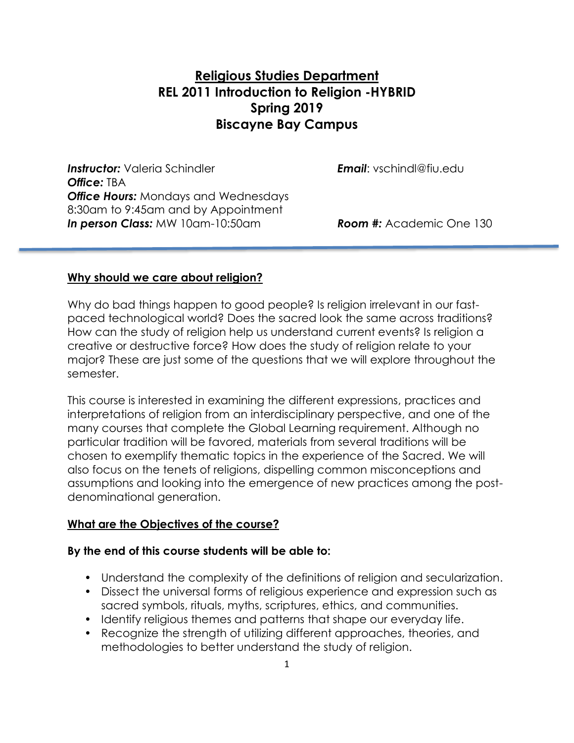# **Religious Studies Department REL 2011 Introduction to Religion -HYBRID Spring 2019 Biscayne Bay Campus**

*Instructor:* Valeria Schindler *Email*: vschindl@fiu.edu *Office:* TBA *Office Hours:* Mondays and Wednesdays 8:30am to 9:45am and by Appointment *In person Class:* MW 10am-10:50am *Room #:* Academic One 130

#### **Why should we care about religion?**

Why do bad things happen to good people? Is religion irrelevant in our fastpaced technological world? Does the sacred look the same across traditions? How can the study of religion help us understand current events? Is religion a creative or destructive force? How does the study of religion relate to your major? These are just some of the questions that we will explore throughout the semester.

This course is interested in examining the different expressions, practices and interpretations of religion from an interdisciplinary perspective, and one of the many courses that complete the Global Learning requirement. Although no particular tradition will be favored, materials from several traditions will be chosen to exemplify thematic topics in the experience of the Sacred. We will also focus on the tenets of religions, dispelling common misconceptions and assumptions and looking into the emergence of new practices among the postdenominational generation.

#### **What are the Objectives of the course?**

#### **By the end of this course students will be able to:**

- Understand the complexity of the definitions of religion and secularization.
- Dissect the universal forms of religious experience and expression such as sacred symbols, rituals, myths, scriptures, ethics, and communities.
- Identify religious themes and patterns that shape our everyday life.
- Recognize the strength of utilizing different approaches, theories, and methodologies to better understand the study of religion.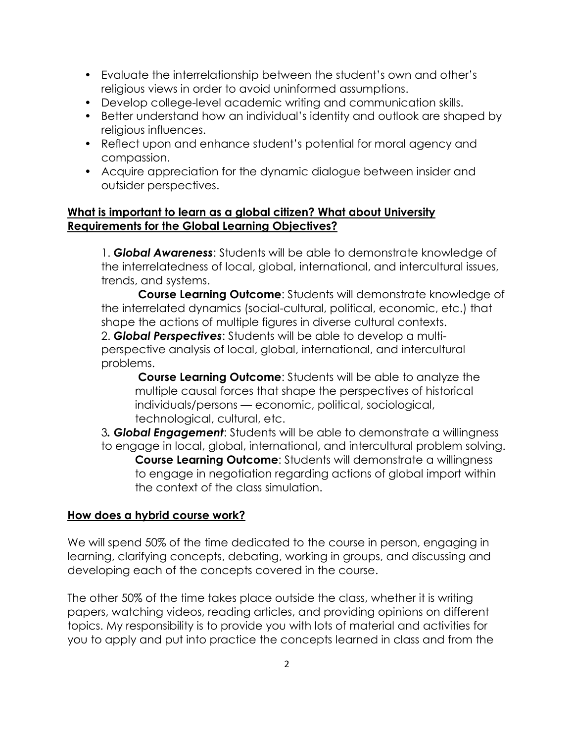- Evaluate the interrelationship between the student's own and other's religious views in order to avoid uninformed assumptions.
- Develop college-level academic writing and communication skills.
- Better understand how an individual's identity and outlook are shaped by religious influences.
- Reflect upon and enhance student's potential for moral agency and compassion.
- Acquire appreciation for the dynamic dialogue between insider and outsider perspectives.

## **What is important to learn as a global citizen? What about University Requirements for the Global Learning Objectives?**

1. *Global Awareness*: Students will be able to demonstrate knowledge of the interrelatedness of local, global, international, and intercultural issues, trends, and systems.

**Course Learning Outcome**: Students will demonstrate knowledge of the interrelated dynamics (social-cultural, political, economic, etc.) that shape the actions of multiple figures in diverse cultural contexts. 2. *Global Perspectives*: Students will be able to develop a multiperspective analysis of local, global, international, and intercultural problems.

**Course Learning Outcome**: Students will be able to analyze the multiple causal forces that shape the perspectives of historical individuals/persons — economic, political, sociological, technological, cultural, etc.

3*. Global Engagement*: Students will be able to demonstrate a willingness to engage in local, global, international, and intercultural problem solving. **Course Learning Outcome**: Students will demonstrate a willingness to engage in negotiation regarding actions of global import within the context of the class simulation.

## **How does a hybrid course work?**

We will spend 50% of the time dedicated to the course in person, engaging in learning, clarifying concepts, debating, working in groups, and discussing and developing each of the concepts covered in the course.

The other 50% of the time takes place outside the class, whether it is writing papers, watching videos, reading articles, and providing opinions on different topics. My responsibility is to provide you with lots of material and activities for you to apply and put into practice the concepts learned in class and from the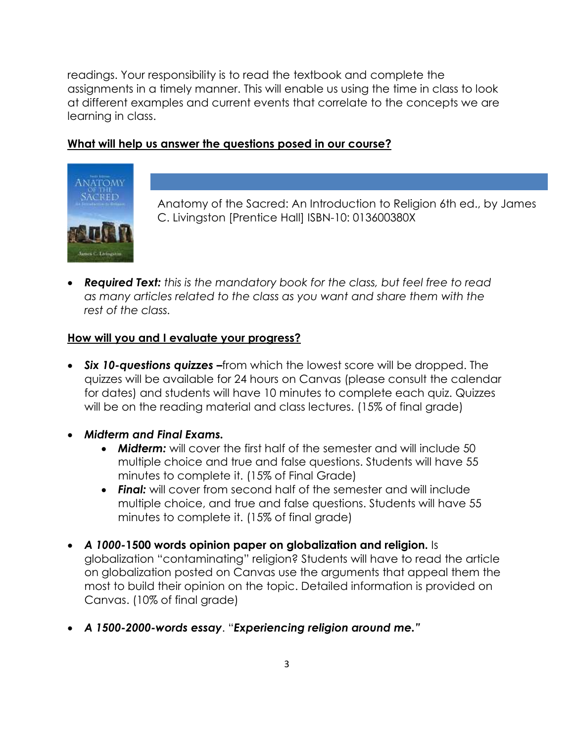readings. Your responsibility is to read the textbook and complete the assignments in a timely manner. This will enable us using the time in class to look at different examples and current events that correlate to the concepts we are learning in class.

#### **What will help us answer the questions posed in our course?**



Anatomy of the Sacred: An Introduction to Religion 6th ed., by James C. Livingston [Prentice Hall] ISBN-10: 013600380X

• *Required Text: this is the mandatory book for the class, but feel free to read as many articles related to the class as you want and share them with the rest of the class.*

#### **How will you and I evaluate your progress?**

- *Six 10-questions quizzes –*from which the lowest score will be dropped. The quizzes will be available for 24 hours on Canvas (please consult the calendar for dates) and students will have 10 minutes to complete each quiz. Quizzes will be on the reading material and class lectures. (15% of final grade)
- *Midterm and Final Exams.*
	- *Midterm:* will cover the first half of the semester and will include 50 multiple choice and true and false questions. Students will have 55 minutes to complete it. (15% of Final Grade)
	- *Final:* will cover from second half of the semester and will include multiple choice, and true and false questions. Students will have 55 minutes to complete it. (15% of final grade)
- *A 1000-***1500 words opinion paper on globalization and religion.** Is globalization "contaminating" religion? Students will have to read the article on globalization posted on Canvas use the arguments that appeal them the most to build their opinion on the topic. Detailed information is provided on Canvas. (10% of final grade)
- *A 1500-2000-words essay*. "*Experiencing religion around me."*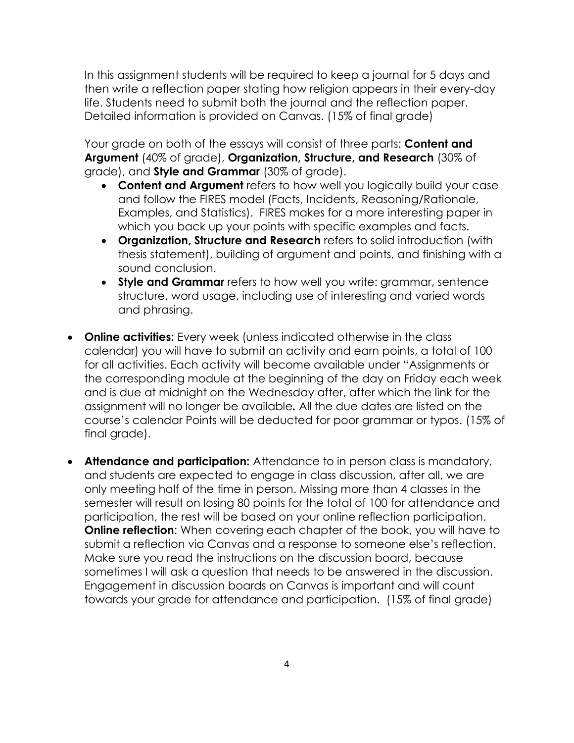In this assignment students will be required to keep a journal for 5 days and then write a reflection paper stating how religion appears in their every-day life. Students need to submit both the journal and the reflection paper. Detailed information is provided on Canvas. (15% of final grade)

Your grade on both of the essays will consist of three parts: **Content and Argument** (40% of grade), **Organization, Structure, and Research** (30% of grade), and **Style and Grammar** (30% of grade).

- **Content and Argument** refers to how well you logically build your case and follow the FIRES model (Facts, Incidents, Reasoning/Rationale, Examples, and Statistics). FIRES makes for a more interesting paper in which you back up your points with specific examples and facts.
- **Organization, Structure and Research** refers to solid introduction (with thesis statement), building of argument and points, and finishing with a sound conclusion.
- **Style and Grammar** refers to how well you write: grammar, sentence structure, word usage, including use of interesting and varied words and phrasing.
- **Online activities:** Every week (unless indicated otherwise in the class calendar) you will have to submit an activity and earn points, a total of 100 for all activities. Each activity will become available under "Assignments or the corresponding module at the beginning of the day on Friday each week and is due at midnight on the Wednesday after, after which the link for the assignment will no longer be available*.* All the due dates are listed on the course's calendar Points will be deducted for poor grammar or typos. (15% of final grade).
- **Attendance and participation:** Attendance to in person class is mandatory, and students are expected to engage in class discussion, after all, we are only meeting half of the time in person. Missing more than 4 classes in the semester will result on losing 80 points for the total of 100 for attendance and participation, the rest will be based on your online reflection participation. **Online reflection:** When covering each chapter of the book, you will have to submit a reflection via Canvas and a response to someone else's reflection. Make sure you read the instructions on the discussion board, because sometimes I will ask a question that needs to be answered in the discussion. Engagement in discussion boards on Canvas is important and will count towards your grade for attendance and participation. (15% of final grade)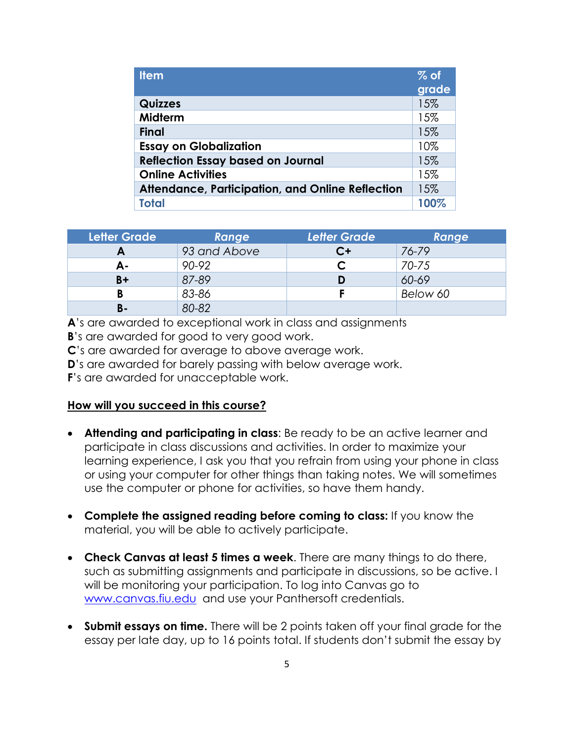| <b>Item</b>                                             | $%$ of |
|---------------------------------------------------------|--------|
|                                                         | grade  |
| <b>Quizzes</b>                                          | 15%    |
| Midterm                                                 | 15%    |
| <b>Final</b>                                            | 15%    |
| <b>Essay on Globalization</b>                           | 10%    |
| <b>Reflection Essay based on Journal</b>                | 15%    |
| <b>Online Activities</b>                                | 15%    |
| <b>Attendance, Participation, and Online Reflection</b> | 15%    |
| Total                                                   | 100%   |

| <b>Letter Grade</b> | Range        | <b>Letter Grade</b> | Range     |
|---------------------|--------------|---------------------|-----------|
| Ē                   | 93 and Above | C+                  | 76-79     |
| А-                  | 90-92        |                     | $70 - 75$ |
| $B+$                | 87-89        | D                   | 60-69     |
|                     | 83-86        |                     | Below 60  |
| <b>B-</b>           | 80-82        |                     |           |

**A**'s are awarded to exceptional work in class and assignments

**B**'s are awarded for good to very good work.

**C**'s are awarded for average to above average work.

**D**'s are awarded for barely passing with below average work.

**F**'s are awarded for unacceptable work.

#### **How will you succeed in this course?**

- **Attending and participating in class**: Be ready to be an active learner and participate in class discussions and activities. In order to maximize your learning experience, I ask you that you refrain from using your phone in class or using your computer for other things than taking notes. We will sometimes use the computer or phone for activities, so have them handy.
- **Complete the assigned reading before coming to class:** If you know the material, you will be able to actively participate.
- **Check Canvas at least 5 times a week**. There are many things to do there, such as submitting assignments and participate in discussions, so be active. I will be monitoring your participation. To log into Canvas go to [www.canvas.fiu.edu](http://www.canvas.fiu.edu/) and use your Panthersoft credentials.
- **Submit essays on time.** There will be 2 points taken off your final grade for the essay per late day, up to 16 points total. If students don't submit the essay by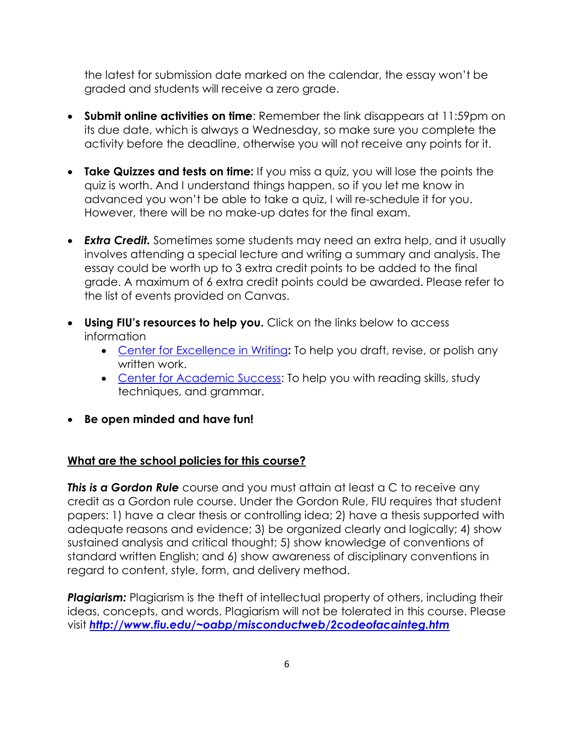the latest for submission date marked on the calendar, the essay won't be graded and students will receive a zero grade.

- **Submit online activities on time**: Remember the link disappears at 11:59pm on its due date, which is always a Wednesday, so make sure you complete the activity before the deadline, otherwise you will not receive any points for it.
- **Take Quizzes and tests on time:** If you miss a quiz, you will lose the points the quiz is worth. And I understand things happen, so if you let me know in advanced you won't be able to take a quiz, I will re-schedule it for you. However, there will be no make-up dates for the final exam.
- *Extra Credit.* Sometimes some students may need an extra help, and it usually involves attending a special lecture and writing a summary and analysis. The essay could be worth up to 3 extra credit points to be added to the final grade. A maximum of 6 extra credit points could be awarded. Please refer to the list of events provided on Canvas.
- **Using FIU's resources to help you.** Click on the links below to access information
	- [Center for Excellence in Writing](https://writingcenter.fiu.edu/)**:** To help you draft, revise, or polish any written work.
	- [Center for Academic Success:](http://undergrad.fiu.edu/cas/) To help you with reading skills, study techniques, and grammar.
- **Be open minded and have fun!**

## **What are the school policies for this course?**

*This is a Gordon Rule* course and you must attain at least a C to receive any credit as a Gordon rule course. Under the Gordon Rule, FIU requires that student papers: 1) have a clear thesis or controlling idea; 2) have a thesis supported with adequate reasons and evidence; 3) be organized clearly and logically; 4) show sustained analysis and critical thought; 5) show knowledge of conventions of standard written English; and 6) show awareness of disciplinary conventions in regard to content, style, form, and delivery method.

**Plagiarism:** Plagiarism is the theft of intellectual property of others, including their ideas, concepts, and words. Plagiarism will not be tolerated in this course. Please visit *<http://www.fiu.edu/~oabp/misconductweb/2codeofacainteg.htm>*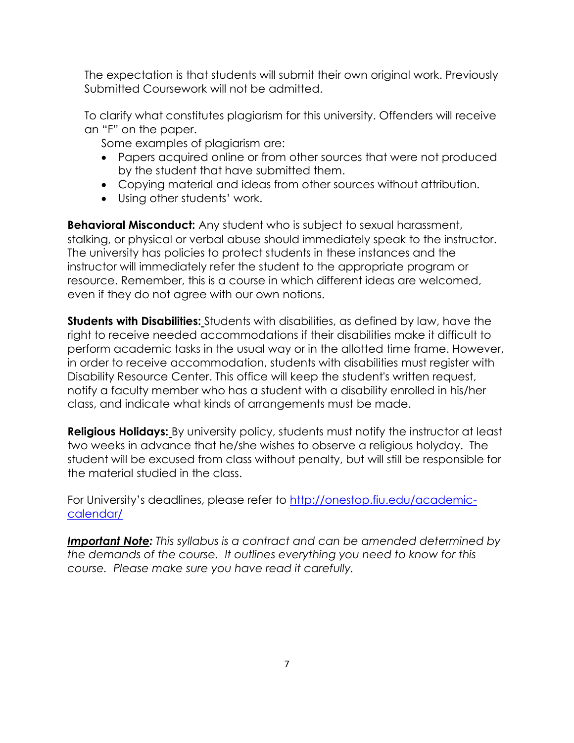The expectation is that students will submit their own original work. Previously Submitted Coursework will not be admitted.

To clarify what constitutes plagiarism for this university. Offenders will receive an "F" on the paper.

Some examples of plagiarism are:

- Papers acquired online or from other sources that were not produced by the student that have submitted them.
- Copying material and ideas from other sources without attribution.
- Using other students' work.

**Behavioral Misconduct:** Any student who is subject to sexual harassment, stalking, or physical or verbal abuse should immediately speak to the instructor. The university has policies to protect students in these instances and the instructor will immediately refer the student to the appropriate program or resource. Remember, this is a course in which different ideas are welcomed, even if they do not agree with our own notions.

**Students with Disabilities:** Students with disabilities, as defined by law, have the right to receive needed accommodations if their disabilities make it difficult to perform academic tasks in the usual way or in the allotted time frame. However, in order to receive accommodation, students with disabilities must register with Disability Resource Center. This office will keep the student's written request, notify a faculty member who has a student with a disability enrolled in his/her class, and indicate what kinds of arrangements must be made.

**Religious Holidays:** By university policy, students must notify the instructor at least two weeks in advance that he/she wishes to observe a religious holyday. The student will be excused from class without penalty, but will still be responsible for the material studied in the class.

For University's deadlines, please refer to [http://onestop.fiu.edu/academic](http://onestop.fiu.edu/academic-calendar/)[calendar/](http://onestop.fiu.edu/academic-calendar/)

*Important Note: This syllabus is a contract and can be amended determined by the demands of the course. It outlines everything you need to know for this course. Please make sure you have read it carefully.*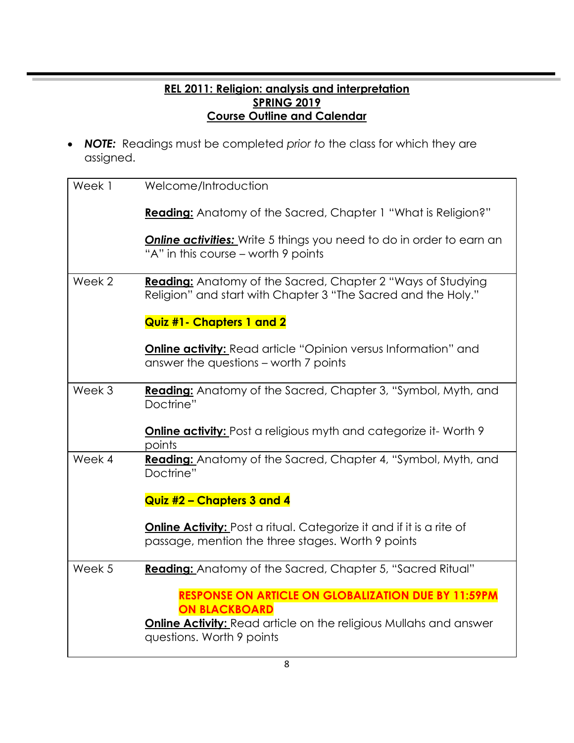## **REL 2011: Religion: analysis and interpretation SPRING 2019 Course Outline and Calendar**

• *NOTE:* Readings must be completed *prior to* the class for which they are assigned.

| Week 1 | Welcome/Introduction                                                                                                             |
|--------|----------------------------------------------------------------------------------------------------------------------------------|
|        | <b>Reading:</b> Anatomy of the Sacred, Chapter 1 "What is Religion?"                                                             |
|        | <b>Online activities:</b> Write 5 things you need to do in order to earn an<br>"A" in this course – worth 9 points               |
| Week 2 | Reading: Anatomy of the Sacred, Chapter 2 "Ways of Studying<br>Religion" and start with Chapter 3 "The Sacred and the Holy."     |
|        | <b>Quiz #1- Chapters 1 and 2</b>                                                                                                 |
|        | <b>Online activity:</b> Read article "Opinion versus Information" and<br>answer the questions – worth 7 points                   |
| Week 3 | Reading: Anatomy of the Sacred, Chapter 3, "Symbol, Myth, and<br>Doctrine"                                                       |
|        | <b>Online activity:</b> Post a religious myth and categorize it- Worth 9<br>points                                               |
| Week 4 | Reading: Anatomy of the Sacred, Chapter 4, "Symbol, Myth, and<br>Doctrine"                                                       |
|        | Quiz #2 - Chapters 3 and 4                                                                                                       |
|        | <b>Online Activity:</b> Post a ritual. Categorize it and if it is a rite of<br>passage, mention the three stages. Worth 9 points |
| Week 5 | Reading: Anatomy of the Sacred, Chapter 5, "Sacred Ritual"                                                                       |
|        | <b>RESPONSE ON ARTICLE ON GLOBALIZATION DUE BY 11:59PM</b><br><b>ON BLACKBOARD</b>                                               |
|        | <b>Online Activity:</b> Read article on the religious Mullahs and answer<br>questions. Worth 9 points                            |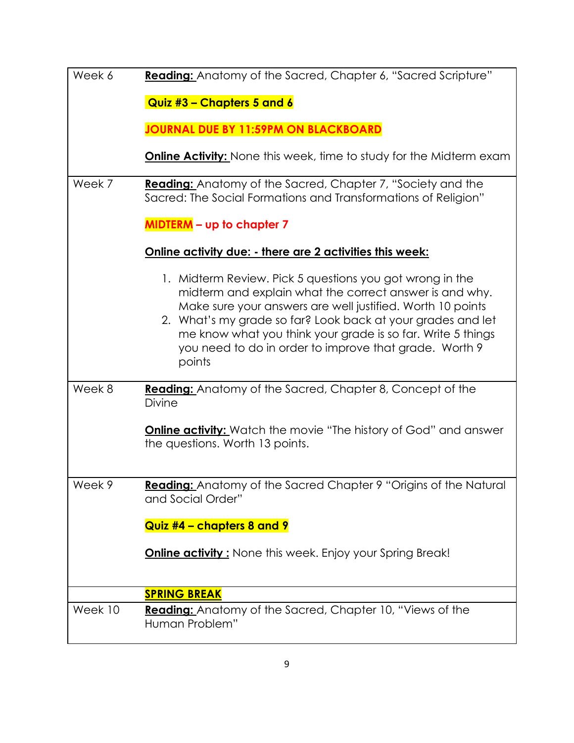| Week 6  | Reading: Anatomy of the Sacred, Chapter 6, "Sacred Scripture"                                                                                                                                                                                                                                                                                                                       |
|---------|-------------------------------------------------------------------------------------------------------------------------------------------------------------------------------------------------------------------------------------------------------------------------------------------------------------------------------------------------------------------------------------|
|         | Quiz #3 - Chapters 5 and 6                                                                                                                                                                                                                                                                                                                                                          |
|         | <b>JOURNAL DUE BY 11:59PM ON BLACKBOARD</b>                                                                                                                                                                                                                                                                                                                                         |
|         | <b>Online Activity:</b> None this week, time to study for the Midterm exam                                                                                                                                                                                                                                                                                                          |
| Week 7  | <b>Reading:</b> Anatomy of the Sacred, Chapter 7, "Society and the<br>Sacred: The Social Formations and Transformations of Religion"                                                                                                                                                                                                                                                |
|         | <b>MIDTERM</b> - up to chapter 7                                                                                                                                                                                                                                                                                                                                                    |
|         | Online activity due: - there are 2 activities this week:                                                                                                                                                                                                                                                                                                                            |
|         | 1. Midterm Review. Pick 5 questions you got wrong in the<br>midterm and explain what the correct answer is and why.<br>Make sure your answers are well justified. Worth 10 points<br>2. What's my grade so far? Look back at your grades and let<br>me know what you think your grade is so far. Write 5 things<br>you need to do in order to improve that grade. Worth 9<br>points |
| Week 8  | <b>Reading:</b> Anatomy of the Sacred, Chapter 8, Concept of the<br><b>Divine</b>                                                                                                                                                                                                                                                                                                   |
|         | <b>Online activity:</b> Watch the movie "The history of God" and answer<br>the questions. Worth 13 points.                                                                                                                                                                                                                                                                          |
| Week 9  | Reading: Anatomy of the Sacred Chapter 9 "Origins of the Natural<br>and Social Order"                                                                                                                                                                                                                                                                                               |
|         | Quiz #4 - chapters 8 and 9                                                                                                                                                                                                                                                                                                                                                          |
|         | <b>Online activity:</b> None this week. Enjoy your Spring Break!                                                                                                                                                                                                                                                                                                                    |
|         | <b>SPRING BREAK</b>                                                                                                                                                                                                                                                                                                                                                                 |
| Week 10 | <b>Reading:</b> Anatomy of the Sacred, Chapter 10, "Views of the<br>Human Problem"                                                                                                                                                                                                                                                                                                  |